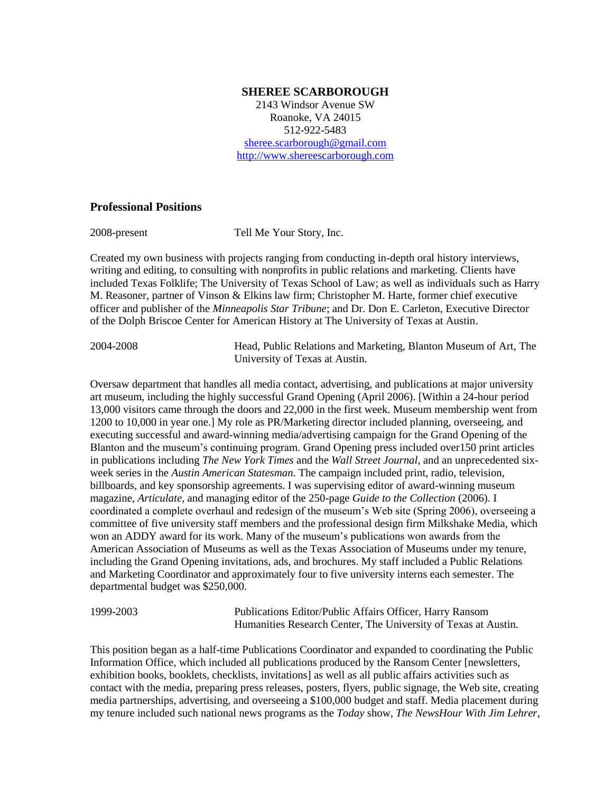#### **SHEREE SCARBOROUGH**

2143 Windsor Avenue SW Roanoke, VA 24015 512-922-5483 [sheree.scarborough@gmail.com](mailto:sheree.scarborough@gmail.com) [http://www.shereescarborough.com](http://www.shereescarborough.com/)

### **Professional Positions**

2008-present Tell Me Your Story, Inc.

Created my own business with projects ranging from conducting in-depth oral history interviews, writing and editing, to consulting with nonprofits in public relations and marketing. Clients have included Texas Folklife; The University of Texas School of Law; as well as individuals such as Harry M. Reasoner, partner of Vinson & Elkins law firm; Christopher M. Harte, former chief executive officer and publisher of the *Minneapolis Star Tribune*; and Dr. Don E. Carleton, Executive Director of the Dolph Briscoe Center for American History at The University of Texas at Austin.

2004-2008 Head, Public Relations and Marketing, Blanton Museum of Art, The University of Texas at Austin.

Oversaw department that handles all media contact, advertising, and publications at major university art museum, including the highly successful Grand Opening (April 2006). [Within a 24-hour period 13,000 visitors came through the doors and 22,000 in the first week. Museum membership went from 1200 to 10,000 in year one.] My role as PR/Marketing director included planning, overseeing, and executing successful and award-winning media/advertising campaign for the Grand Opening of the Blanton and the museum's continuing program. Grand Opening press included over150 print articles in publications including *The New York Times* and the *Wall Street Journal*, and an unprecedented sixweek series in the *Austin American Statesman*. The campaign included print, radio, television, billboards, and key sponsorship agreements. I was supervising editor of award-winning museum magazine, *Articulate,* and managing editor of the 250-page *Guide to the Collection* (2006). I coordinated a complete overhaul and redesign of the museum's Web site (Spring 2006), overseeing a committee of five university staff members and the professional design firm Milkshake Media, which won an ADDY award for its work. Many of the museum's publications won awards from the American Association of Museums as well as the Texas Association of Museums under my tenure, including the Grand Opening invitations, ads, and brochures. My staff included a Public Relations and Marketing Coordinator and approximately four to five university interns each semester. The departmental budget was \$250,000.

1999-2003 Publications Editor/Public Affairs Officer, Harry Ransom Humanities Research Center, The University of Texas at Austin.

This position began as a half-time Publications Coordinator and expanded to coordinating the Public Information Office, which included all publications produced by the Ransom Center [newsletters, exhibition books, booklets, checklists, invitations] as well as all public affairs activities such as contact with the media, preparing press releases, posters, flyers, public signage, the Web site, creating media partnerships, advertising, and overseeing a \$100,000 budget and staff. Media placement during my tenure included such national news programs as the *Today* show, *The NewsHour With Jim Lehrer*,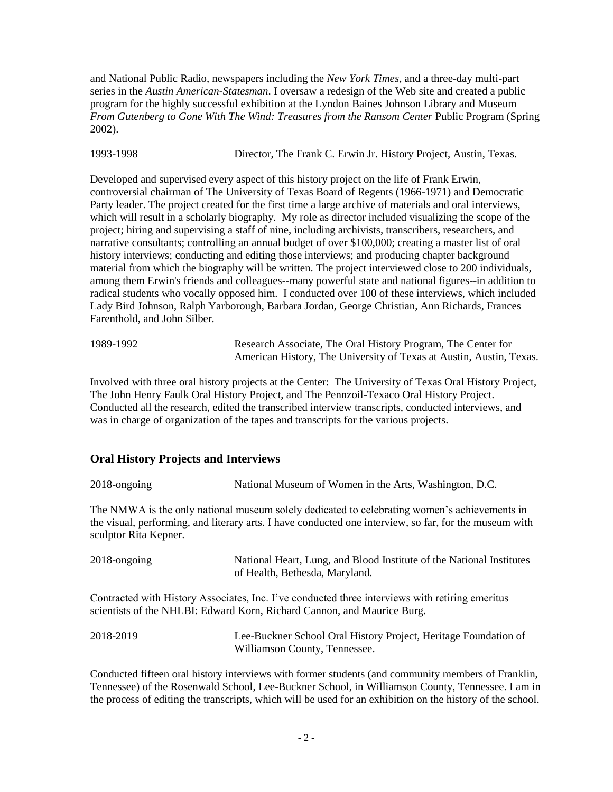and National Public Radio, newspapers including the *New York Times*, and a three-day multi-part series in the *Austin American-Statesman*. I oversaw a redesign of the Web site and created a public program for the highly successful exhibition at the Lyndon Baines Johnson Library and Museum *From Gutenberg to Gone With The Wind: Treasures from the Ransom Center* Public Program (Spring 2002).

1993-1998 Director, The Frank C. Erwin Jr. History Project, Austin, Texas.

Developed and supervised every aspect of this history project on the life of Frank Erwin, controversial chairman of The University of Texas Board of Regents (1966-1971) and Democratic Party leader. The project created for the first time a large archive of materials and oral interviews, which will result in a scholarly biography. My role as director included visualizing the scope of the project; hiring and supervising a staff of nine, including archivists, transcribers, researchers, and narrative consultants; controlling an annual budget of over \$100,000; creating a master list of oral history interviews; conducting and editing those interviews; and producing chapter background material from which the biography will be written. The project interviewed close to 200 individuals, among them Erwin's friends and colleagues--many powerful state and national figures--in addition to radical students who vocally opposed him. I conducted over 100 of these interviews, which included Lady Bird Johnson, Ralph Yarborough, Barbara Jordan, George Christian, Ann Richards, Frances Farenthold, and John Silber.

| 1989-1992 | Research Associate, The Oral History Program, The Center for        |
|-----------|---------------------------------------------------------------------|
|           | American History, The University of Texas at Austin, Austin, Texas. |

Involved with three oral history projects at the Center: The University of Texas Oral History Project, The John Henry Faulk Oral History Project, and The Pennzoil-Texaco Oral History Project. Conducted all the research, edited the transcribed interview transcripts, conducted interviews, and was in charge of organization of the tapes and transcripts for the various projects.

# **Oral History Projects and Interviews**

| 2018-ongoing          | National Museum of Women in the Arts, Washington, D.C.                                                                                                                                                 |
|-----------------------|--------------------------------------------------------------------------------------------------------------------------------------------------------------------------------------------------------|
| sculptor Rita Kepner. | The NMWA is the only national museum solely dedicated to celebrating women's achievements in<br>the visual, performing, and literary arts. I have conducted one interview, so far, for the museum with |
| 2018-ongoing          | National Heart, Lung, and Blood Institute of the National Institutes<br>of Health, Bethesda, Maryland.                                                                                                 |
|                       | Contracted with History Associates, Inc. I've conducted three interviews with retiring emeritus<br>scientists of the NHLBI: Edward Korn, Richard Cannon, and Maurice Burg.                             |
| 2018-2019             | Lee-Buckner School Oral History Project, Heritage Foundation of<br>Williamson County, Tennessee.                                                                                                       |

Conducted fifteen oral history interviews with former students (and community members of Franklin, Tennessee) of the Rosenwald School, Lee-Buckner School, in Williamson County, Tennessee. I am in the process of editing the transcripts, which will be used for an exhibition on the history of the school.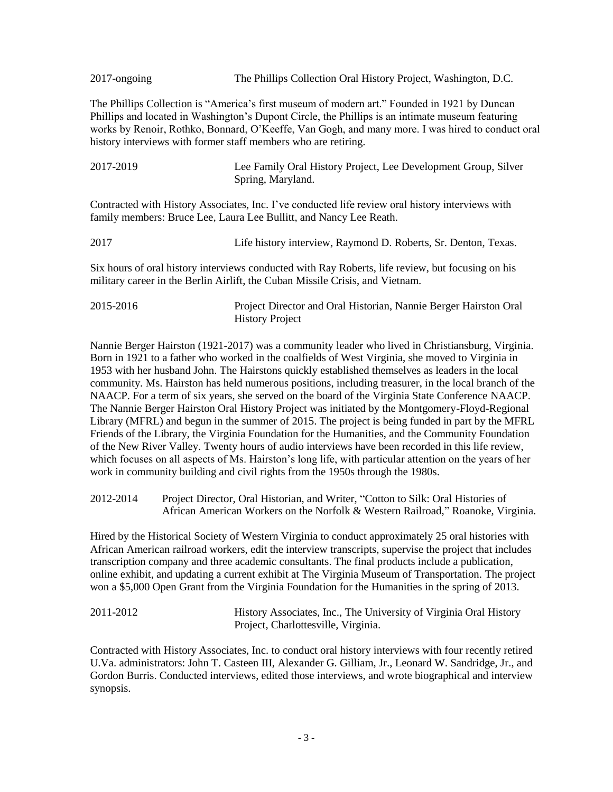2017-ongoing The Phillips Collection Oral History Project, Washington, D.C.

The Phillips Collection is "America's first museum of modern art." Founded in 1921 by Duncan Phillips and located in Washington's Dupont Circle, the Phillips is an intimate museum featuring works by Renoir, Rothko, Bonnard, O'Keeffe, Van Gogh, and many more. I was hired to conduct oral history interviews with former staff members who are retiring.

| 2017-2019 | Lee Family Oral History Project, Lee Development Group, Silver |
|-----------|----------------------------------------------------------------|
|           | Spring, Maryland.                                              |

Contracted with History Associates, Inc. I've conducted life review oral history interviews with family members: Bruce Lee, Laura Lee Bullitt, and Nancy Lee Reath.

2017 Life history interview, Raymond D. Roberts, Sr. Denton, Texas.

Six hours of oral history interviews conducted with Ray Roberts, life review, but focusing on his military career in the Berlin Airlift, the Cuban Missile Crisis, and Vietnam.

2015-2016 Project Director and Oral Historian, Nannie Berger Hairston Oral History Project

Nannie Berger Hairston (1921-2017) was a community leader who lived in Christiansburg, Virginia. Born in 1921 to a father who worked in the coalfields of West Virginia, she moved to Virginia in 1953 with her husband John. The Hairstons quickly established themselves as leaders in the local community. Ms. Hairston has held numerous positions, including treasurer, in the local branch of the NAACP. For a term of six years, she served on the board of the Virginia State Conference NAACP. The Nannie Berger Hairston Oral History Project was initiated by the Montgomery-Floyd-Regional Library (MFRL) and begun in the summer of 2015. The project is being funded in part by the MFRL Friends of the Library, the Virginia Foundation for the Humanities, and the Community Foundation of the New River Valley. Twenty hours of audio interviews have been recorded in this life review, which focuses on all aspects of Ms. Hairston's long life, with particular attention on the years of her work in community building and civil rights from the 1950s through the 1980s.

2012-2014 Project Director, Oral Historian, and Writer, "Cotton to Silk: Oral Histories of African American Workers on the Norfolk & Western Railroad," Roanoke, Virginia.

Hired by the Historical Society of Western Virginia to conduct approximately 25 oral histories with African American railroad workers, edit the interview transcripts, supervise the project that includes transcription company and three academic consultants. The final products include a publication, online exhibit, and updating a current exhibit at The Virginia Museum of Transportation. The project won a \$5,000 Open Grant from the Virginia Foundation for the Humanities in the spring of 2013.

2011-2012 History Associates, Inc., The University of Virginia Oral History Project, Charlottesville, Virginia.

Contracted with History Associates, Inc. to conduct oral history interviews with four recently retired U.Va. administrators: John T. Casteen III, Alexander G. Gilliam, Jr., Leonard W. Sandridge, Jr., and Gordon Burris. Conducted interviews, edited those interviews, and wrote biographical and interview synopsis.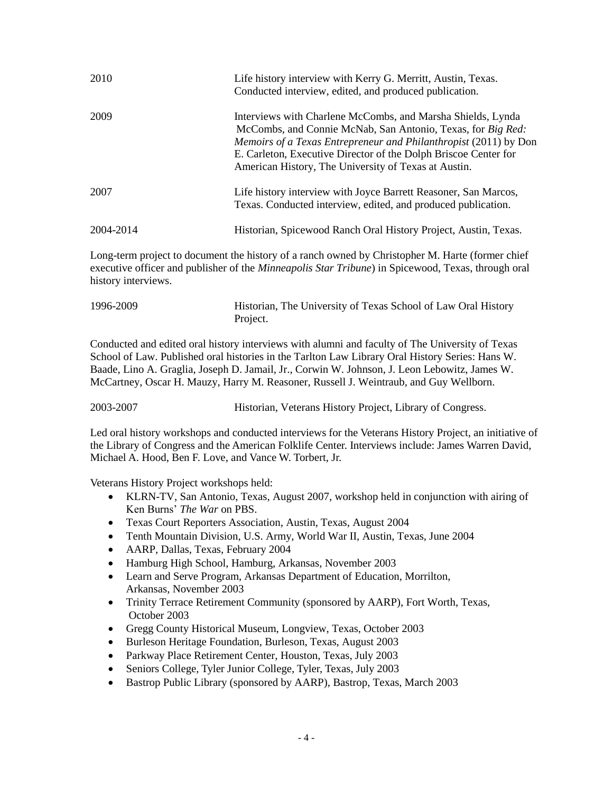| 2010      | Life history interview with Kerry G. Merritt, Austin, Texas.<br>Conducted interview, edited, and produced publication.                                                                                                                                                                                                           |
|-----------|----------------------------------------------------------------------------------------------------------------------------------------------------------------------------------------------------------------------------------------------------------------------------------------------------------------------------------|
| 2009      | Interviews with Charlene McCombs, and Marsha Shields, Lynda<br>McCombs, and Connie McNab, San Antonio, Texas, for Big Red:<br><i>Memoirs of a Texas Entrepreneur and Philanthropist</i> (2011) by Don<br>E. Carleton, Executive Director of the Dolph Briscoe Center for<br>American History, The University of Texas at Austin. |
| 2007      | Life history interview with Joyce Barrett Reasoner, San Marcos,<br>Texas. Conducted interview, edited, and produced publication.                                                                                                                                                                                                 |
| 2004-2014 | Historian, Spicewood Ranch Oral History Project, Austin, Texas.                                                                                                                                                                                                                                                                  |

Long-term project to document the history of a ranch owned by Christopher M. Harte (former chief executive officer and publisher of the *Minneapolis Star Tribune*) in Spicewood, Texas, through oral history interviews.

| 1996-2009 | Historian, The University of Texas School of Law Oral History |
|-----------|---------------------------------------------------------------|
|           | Project.                                                      |

Conducted and edited oral history interviews with alumni and faculty of The University of Texas School of Law. Published oral histories in the Tarlton Law Library Oral History Series: Hans W. Baade, Lino A. Graglia, Joseph D. Jamail, Jr., Corwin W. Johnson, J. Leon Lebowitz, James W. McCartney, Oscar H. Mauzy, Harry M. Reasoner, Russell J. Weintraub, and Guy Wellborn.

2003-2007 Historian, Veterans History Project, Library of Congress.

Led oral history workshops and conducted interviews for the Veterans History Project, an initiative of the Library of Congress and the American Folklife Center. Interviews include: James Warren David, Michael A. Hood, Ben F. Love, and Vance W. Torbert, Jr.

Veterans History Project workshops held:

- KLRN-TV, San Antonio, Texas, August 2007, workshop held in conjunction with airing of Ken Burns' *The War* on PBS.
- Texas Court Reporters Association, Austin, Texas, August 2004
- Tenth Mountain Division, U.S. Army, World War II, Austin, Texas, June 2004
- AARP, Dallas, Texas, February 2004
- Hamburg High School, Hamburg, Arkansas, November 2003
- Learn and Serve Program, Arkansas Department of Education, Morrilton, Arkansas, November 2003
- Trinity Terrace Retirement Community (sponsored by AARP), Fort Worth, Texas, October 2003
- Gregg County Historical Museum, Longview, Texas, October 2003
- Burleson Heritage Foundation, Burleson, Texas, August 2003
- Parkway Place Retirement Center, Houston, Texas, July 2003
- Seniors College, Tyler Junior College, Tyler, Texas, July 2003
- Bastrop Public Library (sponsored by AARP), Bastrop, Texas, March 2003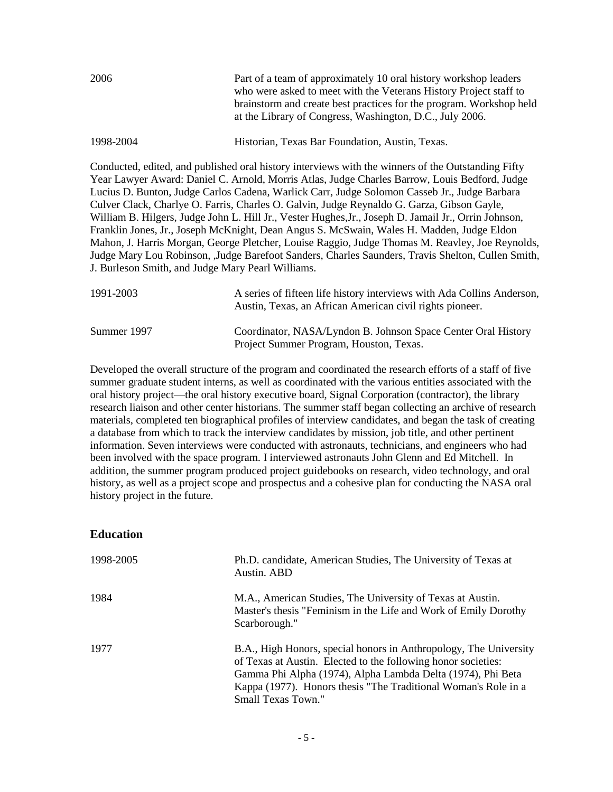| 2006      | Part of a team of approximately 10 oral history workshop leaders<br>who were asked to meet with the Veterans History Project staff to<br>brainstorm and create best practices for the program. Workshop held<br>at the Library of Congress, Washington, D.C., July 2006. |
|-----------|--------------------------------------------------------------------------------------------------------------------------------------------------------------------------------------------------------------------------------------------------------------------------|
| 1998-2004 | Historian, Texas Bar Foundation, Austin, Texas.                                                                                                                                                                                                                          |

Conducted, edited, and published oral history interviews with the winners of the Outstanding Fifty Year Lawyer Award: Daniel C. Arnold, Morris Atlas, Judge Charles Barrow, Louis Bedford, Judge Lucius D. Bunton, Judge Carlos Cadena, Warlick Carr, Judge Solomon Casseb Jr., Judge Barbara Culver Clack, Charlye O. Farris, Charles O. Galvin, Judge Reynaldo G. Garza, Gibson Gayle, William B. Hilgers, Judge John L. Hill Jr., Vester Hughes,Jr., Joseph D. Jamail Jr., Orrin Johnson, Franklin Jones, Jr., Joseph McKnight, Dean Angus S. McSwain, Wales H. Madden, Judge Eldon Mahon, J. Harris Morgan, George Pletcher, Louise Raggio, Judge Thomas M. Reavley, Joe Reynolds, Judge Mary Lou Robinson, ,Judge Barefoot Sanders, Charles Saunders, Travis Shelton, Cullen Smith, J. Burleson Smith, and Judge Mary Pearl Williams.

| 1991-2003   | A series of fifteen life history interviews with Ada Collins Anderson,<br>Austin, Texas, an African American civil rights pioneer. |
|-------------|------------------------------------------------------------------------------------------------------------------------------------|
| Summer 1997 | Coordinator, NASA/Lyndon B. Johnson Space Center Oral History<br>Project Summer Program, Houston, Texas.                           |

Developed the overall structure of the program and coordinated the research efforts of a staff of five summer graduate student interns, as well as coordinated with the various entities associated with the oral history project—the oral history executive board, Signal Corporation (contractor), the library research liaison and other center historians. The summer staff began collecting an archive of research materials, completed ten biographical profiles of interview candidates, and began the task of creating a database from which to track the interview candidates by mission, job title, and other pertinent information. Seven interviews were conducted with astronauts, technicians, and engineers who had been involved with the space program. I interviewed astronauts John Glenn and Ed Mitchell. In addition, the summer program produced project guidebooks on research, video technology, and oral history, as well as a project scope and prospectus and a cohesive plan for conducting the NASA oral history project in the future.

## **Education**

| 1998-2005 | Ph.D. candidate, American Studies, The University of Texas at<br>Austin. ABD                                                                                                                                                                                                              |
|-----------|-------------------------------------------------------------------------------------------------------------------------------------------------------------------------------------------------------------------------------------------------------------------------------------------|
| 1984      | M.A., American Studies, The University of Texas at Austin.<br>Master's thesis "Feminism in the Life and Work of Emily Dorothy<br>Scarborough."                                                                                                                                            |
| 1977      | B.A., High Honors, special honors in Anthropology, The University<br>of Texas at Austin. Elected to the following honor societies:<br>Gamma Phi Alpha (1974), Alpha Lambda Delta (1974), Phi Beta<br>Kappa (1977). Honors thesis "The Traditional Woman's Role in a<br>Small Texas Town." |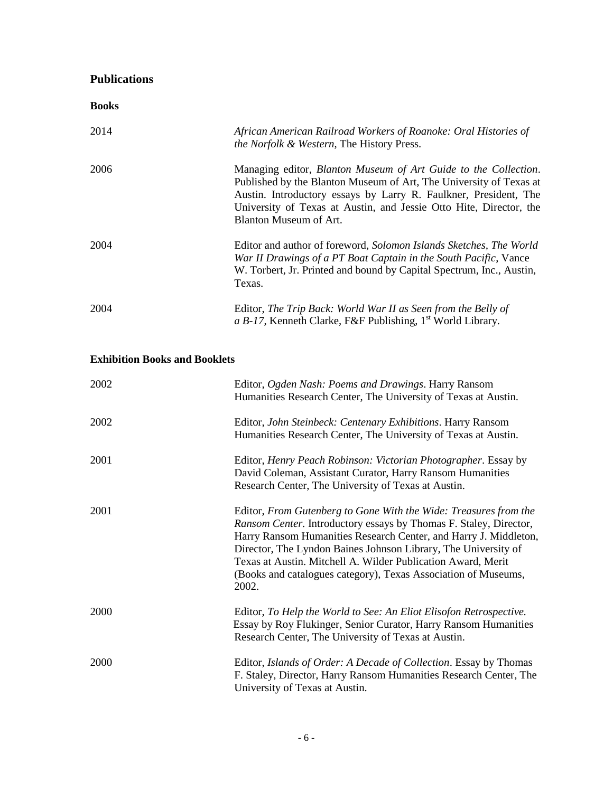## **Publications**

| <b>Books</b>                         |                                                                                                                                                                                                                                                                                                           |
|--------------------------------------|-----------------------------------------------------------------------------------------------------------------------------------------------------------------------------------------------------------------------------------------------------------------------------------------------------------|
| 2014                                 | African American Railroad Workers of Roanoke: Oral Histories of<br>the Norfolk & Western, The History Press.                                                                                                                                                                                              |
| 2006                                 | Managing editor, Blanton Museum of Art Guide to the Collection.<br>Published by the Blanton Museum of Art, The University of Texas at<br>Austin. Introductory essays by Larry R. Faulkner, President, The<br>University of Texas at Austin, and Jessie Otto Hite, Director, the<br>Blanton Museum of Art. |
| 2004                                 | Editor and author of foreword, Solomon Islands Sketches, The World<br>War II Drawings of a PT Boat Captain in the South Pacific, Vance<br>W. Torbert, Jr. Printed and bound by Capital Spectrum, Inc., Austin,<br>Texas.                                                                                  |
| 2004                                 | Editor, The Trip Back: World War II as Seen from the Belly of<br>a B-17, Kenneth Clarke, F&F Publishing, $1st$ World Library.                                                                                                                                                                             |
| <b>Exhibition Books and Booklets</b> |                                                                                                                                                                                                                                                                                                           |
| 2002                                 | Editor, Ogden Nash: Poems and Drawings. Harry Ransom<br>Humanities Research Center, The University of Texas at Austin.                                                                                                                                                                                    |
| 2002                                 | Editor, John Steinbeck: Centenary Exhibitions. Harry Ransom<br>Humanities Research Center, The University of Texas at Austin.                                                                                                                                                                             |
| 2001                                 | Editor <i>Henry Peach Robinson: Victorian Photographer</i> Essay by                                                                                                                                                                                                                                       |

2001 Editor, *Henry Peach Robinson: Victorian Photographer*. Essay by David Coleman, Assistant Curator, Harry Ransom Humanities Research Center, The University of Texas at Austin.

| 2001 | Editor, From Gutenberg to Gone With the Wide: Treasures from the<br><i>Ransom Center.</i> Introductory essays by Thomas F. Staley, Director,<br>Harry Ransom Humanities Research Center, and Harry J. Middleton,<br>Director, The Lyndon Baines Johnson Library, The University of<br>Texas at Austin. Mitchell A. Wilder Publication Award, Merit<br>(Books and catalogues category), Texas Association of Museums,<br>2002. |
|------|-------------------------------------------------------------------------------------------------------------------------------------------------------------------------------------------------------------------------------------------------------------------------------------------------------------------------------------------------------------------------------------------------------------------------------|
| 2000 | Editor, To Help the World to See: An Eliot Elisofon Retrospective.<br>Essay by Roy Flukinger, Senior Curator, Harry Ransom Humanities<br>Research Center, The University of Texas at Austin.                                                                                                                                                                                                                                  |

2000 Editor, *Islands of Order: A Decade of Collection*. Essay by Thomas F. Staley, Director, Harry Ransom Humanities Research Center, The University of Texas at Austin.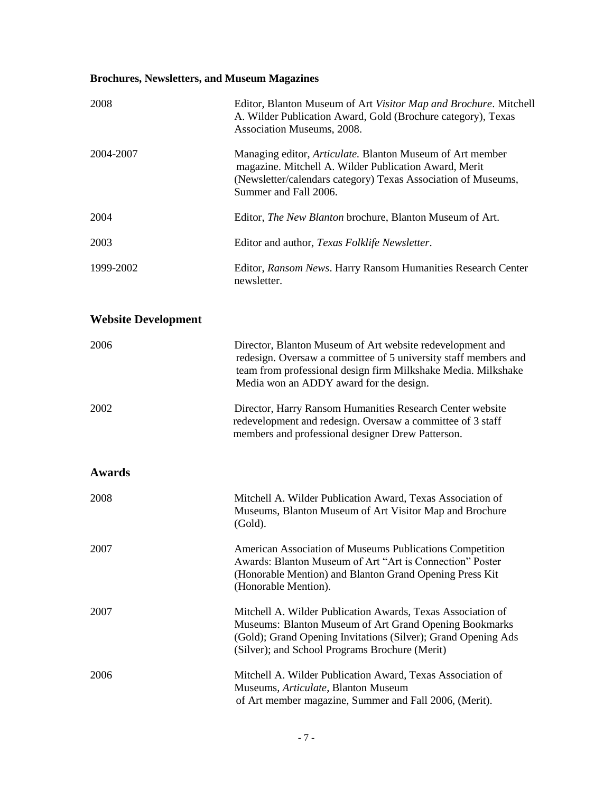# **Brochures, Newsletters, and Museum Magazines**

| 2008                       | Editor, Blanton Museum of Art Visitor Map and Brochure. Mitchell<br>A. Wilder Publication Award, Gold (Brochure category), Texas<br>Association Museums, 2008.                                                                           |
|----------------------------|------------------------------------------------------------------------------------------------------------------------------------------------------------------------------------------------------------------------------------------|
| 2004-2007                  | Managing editor, Articulate. Blanton Museum of Art member<br>magazine. Mitchell A. Wilder Publication Award, Merit<br>(Newsletter/calendars category) Texas Association of Museums,<br>Summer and Fall 2006.                             |
| 2004                       | Editor, The New Blanton brochure, Blanton Museum of Art.                                                                                                                                                                                 |
| 2003                       | Editor and author, Texas Folklife Newsletter.                                                                                                                                                                                            |
| 1999-2002                  | Editor, Ransom News. Harry Ransom Humanities Research Center<br>newsletter.                                                                                                                                                              |
| <b>Website Development</b> |                                                                                                                                                                                                                                          |
| 2006                       | Director, Blanton Museum of Art website redevelopment and<br>redesign. Oversaw a committee of 5 university staff members and<br>team from professional design firm Milkshake Media. Milkshake<br>Media won an ADDY award for the design. |
| 2002                       | Director, Harry Ransom Humanities Research Center website<br>redevelopment and redesign. Oversaw a committee of 3 staff<br>members and professional designer Drew Patterson.                                                             |
| <b>Awards</b>              |                                                                                                                                                                                                                                          |
| 2008                       | Mitchell A. Wilder Publication Award, Texas Association of<br>Museums, Blanton Museum of Art Visitor Map and Brochure<br>(Gold).                                                                                                         |
| 2007                       | American Association of Museums Publications Competition<br>Awards: Blanton Museum of Art "Art is Connection" Poster<br>(Honorable Mention) and Blanton Grand Opening Press Kit<br>(Honorable Mention).                                  |
| 2007                       | Mitchell A. Wilder Publication Awards, Texas Association of<br>Museums: Blanton Museum of Art Grand Opening Bookmarks<br>(Gold); Grand Opening Invitations (Silver); Grand Opening Ads<br>(Silver); and School Programs Brochure (Merit) |
| 2006                       | Mitchell A. Wilder Publication Award, Texas Association of<br>Museums, Articulate, Blanton Museum<br>of Art member magazine, Summer and Fall 2006, (Merit).                                                                              |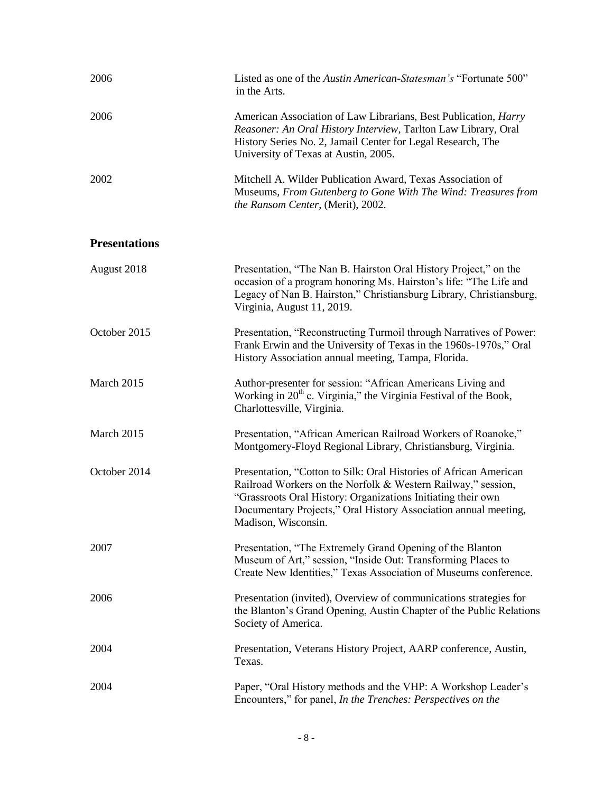| 2006                 | Listed as one of the Austin American-Statesman's "Fortunate 500"<br>in the Arts.                                                                                                                                                                                                            |
|----------------------|---------------------------------------------------------------------------------------------------------------------------------------------------------------------------------------------------------------------------------------------------------------------------------------------|
| 2006                 | American Association of Law Librarians, Best Publication, <i>Harry</i><br>Reasoner: An Oral History Interview, Tarlton Law Library, Oral<br>History Series No. 2, Jamail Center for Legal Research, The<br>University of Texas at Austin, 2005.                                             |
| 2002                 | Mitchell A. Wilder Publication Award, Texas Association of<br>Museums, From Gutenberg to Gone With The Wind: Treasures from<br>the Ransom Center, (Merit), 2002.                                                                                                                            |
| <b>Presentations</b> |                                                                                                                                                                                                                                                                                             |
| August 2018          | Presentation, "The Nan B. Hairston Oral History Project," on the<br>occasion of a program honoring Ms. Hairston's life: "The Life and<br>Legacy of Nan B. Hairston," Christiansburg Library, Christiansburg,<br>Virginia, August 11, 2019.                                                  |
| October 2015         | Presentation, "Reconstructing Turmoil through Narratives of Power:<br>Frank Erwin and the University of Texas in the 1960s-1970s," Oral<br>History Association annual meeting, Tampa, Florida.                                                                                              |
| March 2015           | Author-presenter for session: "African Americans Living and<br>Working in $20th$ c. Virginia," the Virginia Festival of the Book,<br>Charlottesville, Virginia.                                                                                                                             |
| March 2015           | Presentation, "African American Railroad Workers of Roanoke,"<br>Montgomery-Floyd Regional Library, Christiansburg, Virginia.                                                                                                                                                               |
| October 2014         | Presentation, "Cotton to Silk: Oral Histories of African American<br>Railroad Workers on the Norfolk & Western Railway," session,<br>"Grassroots Oral History: Organizations Initiating their own<br>Documentary Projects," Oral History Association annual meeting,<br>Madison, Wisconsin. |
| 2007                 | Presentation, "The Extremely Grand Opening of the Blanton<br>Museum of Art," session, "Inside Out: Transforming Places to<br>Create New Identities," Texas Association of Museums conference.                                                                                               |
| 2006                 | Presentation (invited), Overview of communications strategies for<br>the Blanton's Grand Opening, Austin Chapter of the Public Relations<br>Society of America.                                                                                                                             |
| 2004                 | Presentation, Veterans History Project, AARP conference, Austin,<br>Texas.                                                                                                                                                                                                                  |
| 2004                 | Paper, "Oral History methods and the VHP: A Workshop Leader's<br>Encounters," for panel, In the Trenches: Perspectives on the                                                                                                                                                               |